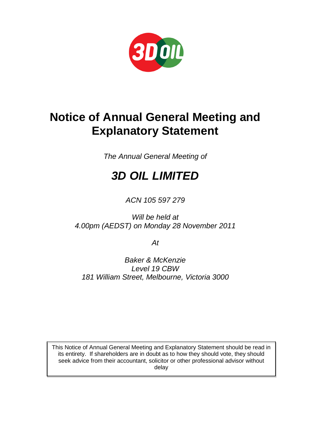

# **Notice of Annual General Meeting and Explanatory Statement**

*The Annual General Meeting of*

# *3D OIL LIMITED*

*ACN 105 597 279*

*Will be held at 4.00pm (AEDST) on Monday 28 November 2011*

*At*

*Baker & McKenzie Level 19 CBW 181 William Street, Melbourne, Victoria 3000*

This Notice of Annual General Meeting and Explanatory Statement should be read in its entirety. If shareholders are in doubt as to how they should vote, they should seek advice from their accountant, solicitor or other professional advisor without delay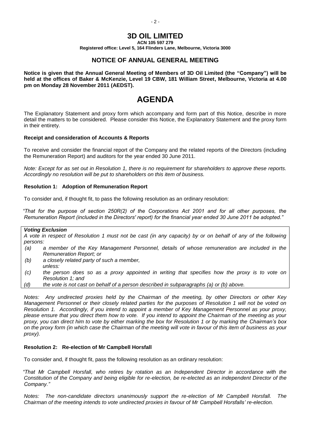#### **3D OIL LIMITED ACN 105 597 279**

**Registered office: Level 5, 164 Flinders Lane, Melbourne, Victoria 3000**

## **NOTICE OF ANNUAL GENERAL MEETING**

**Notice is given that the Annual General Meeting of Members of 3D Oil Limited (the "Company") will be held at the offices of Baker & McKenzie, Level 19 CBW, 181 William Street, Melbourne, Victoria at 4.00 pm on Monday 28 November 2011 (AEDST).**

# **AGENDA**

The Explanatory Statement and proxy form which accompany and form part of this Notice, describe in more detail the matters to be considered. Please consider this Notice, the Explanatory Statement and the proxy form in their entirety.

#### **Receipt and consideration of Accounts & Reports**

To receive and consider the financial report of the Company and the related reports of the Directors (including the Remuneration Report) and auditors for the year ended 30 June 2011.

*Note: Except for as set out in Resolution 1, there is no requirement for shareholders to approve these reports. Accordingly no resolution will be put to shareholders on this item of business.*

#### **Resolution 1: Adoption of Remuneration Report**

To consider and, if thought fit, to pass the following resolution as an ordinary resolution:

*"That for the purpose of section 250R(2) of the Corporations Act 2001 and for all other purposes, the Remuneration Report (included in the Directors' report) for the financial year ended 30 June 2011 be adopted."*

#### *Voting Exclusion*

*A vote in respect of Resolution 1 must not be cast (in any capacity) by or on behalf of any of the following persons:*

- *(a) a member of the Key Management Personnel, details of whose remuneration are included in the Remuneration Report; or*
- *(b) a closely related party of such a member,*
- *unless:*
- *(c) the person does so as a proxy appointed in writing that specifies how the proxy is to vote on Resolution 1; and*
- *(d) the vote is not cast on behalf of a person described in subparagraphs (a) or (b) above.*

*Notes: Any undirected proxies held by the Chairman of the meeting, by other Directors or other Key Management Personnel or their closely related parties for the purposes of Resolution 1 will not be voted on Resolution 1. Accordingly, if you intend to appoint a member of Key Management Personnel as your proxy, please ensure that you direct them how to vote. If you intend to appoint the Chairman of the meeting as your proxy, you can direct him to vote by either marking the box for Resolution 1 or by marking the Chairman's box on the proxy form (in which case the Chairman of the meeting will vote in favour of this item of business as your proxy).*

#### **Resolution 2: Re-election of Mr Campbell Horsfall**

To consider and, if thought fit, pass the following resolution as an ordinary resolution:

*"That Mr Campbell Horsfall, who retires by rotation as an Independent Director in accordance with the Constitution of the Company and being eligible for re-election, be re-elected as an independent Director of the Company."*

*Notes: The non-candidate directors unanimously support the re-election of Mr Campbell Horsfall. The Chairman of the meeting intends to vote undirected proxies in favour of Mr Campbell Horsfalls' re-election.*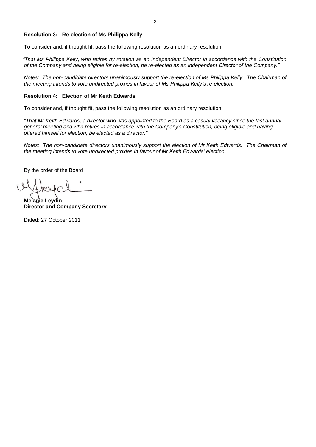#### **Resolution 3: Re-election of Ms Philippa Kelly**

To consider and, if thought fit, pass the following resolution as an ordinary resolution:

*"That Ms Philippa Kelly, who retires by rotation as an Independent Director in accordance with the Constitution of the Company and being eligible for re-election, be re-elected as an independent Director of the Company."*

*Notes: The non-candidate directors unanimously support the re-election of Ms Philippa Kelly. The Chairman of the meeting intends to vote undirected proxies in favour of Ms Philippa Kelly's re-election.*

#### **Resolution 4: Election of Mr Keith Edwards**

To consider and, if thought fit, pass the following resolution as an ordinary resolution:

*"That Mr Keith Edwards, a director who was appointed to the Board as a casual vacancy since the last annual general meeting and who retires in accordance with the Company's Constitution, being eligible and having offered himself for election, be elected as a director."*

*Notes: The non-candidate directors unanimously support the election of Mr Keith Edwards. The Chairman of the meeting intends to vote undirected proxies in favour of Mr Keith Edwards' election.*

By the order of the Board

**Melanie Leydin Director and Company Secretary**

Dated: 27 October 2011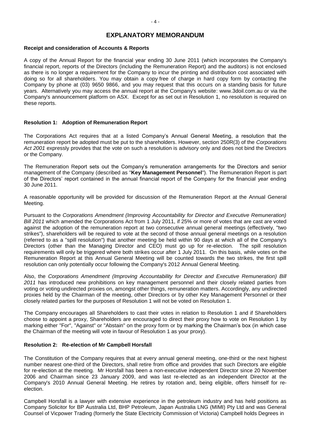## **EXPLANATORY MEMORANDUM**

#### **Receipt and consideration of Accounts & Reports**

A copy of the Annual Report for the financial year ending 30 June 2011 (which incorporates the Company's financial report, reports of the Directors (including the Remuneration Report) and the auditors) is not enclosed as there is no longer a requirement for the Company to incur the printing and distribution cost associated with doing so for all shareholders. You may obtain a copy free of charge in hard copy form by contacting the Company by phone at (03) 9650 9866, and you may request that this occurs on a standing basis for future years. Alternatively you may access the annual report at the Company's website: www.3doil.com.au or via the Company's announcement platform on ASX. Except for as set out in Resolution 1, no resolution is required on these reports.

#### **Resolution 1: Adoption of Remuneration Report**

The Corporations Act requires that at a listed Company's Annual General Meeting, a resolution that the remuneration report be adopted must be put to the shareholders. However, section 250R(3) of the *Corporations Act 2001* expressly provides that the vote on such a resolution is advisory only and does not bind the Directors or the Company.

The Remuneration Report sets out the Company's remuneration arrangements for the Directors and senior management of the Company (described as "**Key Management Personnel**"). The Remuneration Report is part of the Directors' report contained in the annual financial report of the Company for the financial year ending 30 June 2011.

A reasonable opportunity will be provided for discussion of the Remuneration Report at the Annual General Meeting.

Pursuant to the *Corporations Amendment (Improving Accountability for Director and Executive Remuneration) Bill 2011* which amended the Corporations Act from 1 July 2011, if 25% or more of votes that are cast are voted against the adoption of the remuneration report at two consecutive annual general meetings (effectively, "two strikes"), shareholders will be required to vote at the second of those annual general meetings on a resolution (referred to as a "spill resolution") that another meeting be held within 90 days at which all of the Company's Directors (other than the Managing Director and CEO) must go up for re-election. The spill resolution requirements will only be triggered where both strikes occur after 1 July 2011. On this basis, while votes on the Remuneration Report at this Annual General Meeting will be counted towards the two strikes, the first spill resolution can only potentially occur following the Company's 2012 Annual General Meeting.

Also, the *Corporations Amendment (Improving Accountability for Director and Executive Remuneration) Bill 2011* has introduced new prohibitions on key management personnel and their closely related parties from voting or voting undirected proxies on, amongst other things, remuneration matters. Accordingly, any undirected proxies held by the Chairman of the meeting, other Directors or by other Key Management Personnel or their closely related parties for the purposes of Resolution 1 will not be voted on Resolution 1.

The Company encourages all Shareholders to cast their votes in relation to Resolution 1 and if Shareholders choose to appoint a proxy, Shareholders are encouraged to direct their proxy how to vote on Resolution 1 by marking either "For", "Against" or "Abstain" on the proxy form or by marking the Chairman's box (in which case the Chairman of the meeting will vote in favour of Resolution 1 as your proxy).

#### **Resolution 2: Re-election of Mr Campbell Horsfall**

The Constitution of the Company requires that at every annual general meeting, one-third or the next highest number nearest one-third of the Directors, shall retire from office and provides that such Directors are eligible for re-election at the meeting. Mr Horsfall has been a non-executive independent Director since 20 November 2006 and Chairman since 23 January 2009, and was last re-elected as an independent Director at the Company's 2010 Annual General Meeting. He retires by rotation and, being eligible, offers himself for reelection.

Campbell Horsfall is a lawyer with extensive experience in the petroleum industry and has held positions as Company Solicitor for BP Australia Ltd, BHP Petroleum, Japan Australia LNG (MIMI) Pty Ltd and was General Counsel of Vicpower Trading (formerly the State Electricity Commission of Victoria) Campbell holds Degrees in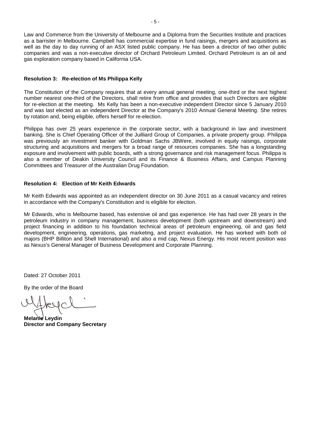Law and Commerce from the University of Melbourne and a Diploma from the Securities Institute and practices as a barrister in Melbourne. Campbell has commercial expertise in fund raisings, mergers and acquisitions as well as the day to day running of an ASX listed public company. He has been a director of two other public companies and was a non-executive director of Orchard Petroleum Limited. Orchard Petroleum is an oil and gas exploration company based in California USA.

#### **Resolution 3: Re-election of Ms Philippa Kelly**

The Constitution of the Company requires that at every annual general meeting, one-third or the next highest number nearest one-third of the Directors, shall retire from office and provides that such Directors are eligible for re-election at the meeting. Ms Kelly has been a non-executive independent Director since 5 January 2010 and was last elected as an independent Director at the Company's 2010 Annual General Meeting. She retires by rotation and, being eligible, offers herself for re-election.

Philippa has over 25 years experience in the corporate sector, with a background in law and investment banking. She is Chief Operating Officer of the Juilliard Group of Companies, a private property group. Philippa was previously an investment banker with Goldman Sachs JBWere, involved in equity raisings, corporate structuring and acquisitions and mergers for a broad range of resources companies. She has a longstanding exposure and involvement with public boards, with a strong governance and risk management focus. Philippa is also a member of Deakin University Council and its Finance & Business Affairs, and Campus Planning Committees and Treasurer of the Australian Drug Foundation.

#### **Resolution 4: Election of Mr Keith Edwards**

Mr Keith Edwards was appointed as an independent director on 30 June 2011 as a casual vacancy and retires in accordance with the Company's Constitution and is eligible for election.

Mr Edwards, who is Melbourne based, has extensive oil and gas experience. He has had over 28 years in the petroleum industry in company management, business development (both upstream and downstream) and project financing in addition to his foundation technical areas of petroleum engineering, oil and gas field development, engineering, operations, gas marketing, and project evaluation. He has worked with both oil majors (BHP Billiton and Shell International) and also a mid cap, Nexus Energy. His most recent position was as Nexus's General Manager of Business Development and Corporate Planning.

Dated: 27 October 2011

By the order of the Board

**Melanie Leydin Director and Company Secretary**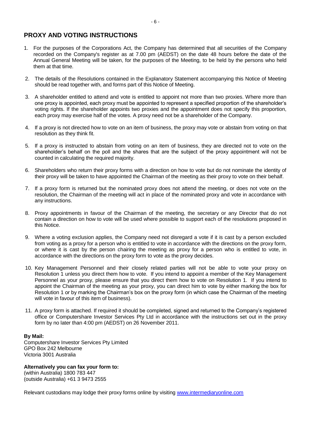# **PROXY AND VOTING INSTRUCTIONS**

- 1. For the purposes of the Corporations Act, the Company has determined that all securities of the Company recorded on the Company's register as at 7.00 pm (AEDST) on the date 48 hours before the date of the Annual General Meeting will be taken, for the purposes of the Meeting, to be held by the persons who held them at that time.
- 2. The details of the Resolutions contained in the Explanatory Statement accompanying this Notice of Meeting should be read together with, and forms part of this Notice of Meeting.
- 3. A shareholder entitled to attend and vote is entitled to appoint not more than two proxies. Where more than one proxy is appointed, each proxy must be appointed to represent a specified proportion of the shareholder's voting rights. If the shareholder appoints two proxies and the appointment does not specify this proportion, each proxy may exercise half of the votes. A proxy need not be a shareholder of the Company.
- 4. If a proxy is not directed how to vote on an item of business, the proxy may vote or abstain from voting on that resolution as they think fit.
- 5. If a proxy is instructed to abstain from voting on an item of business, they are directed not to vote on the shareholder's behalf on the poll and the shares that are the subject of the proxy appointment will not be counted in calculating the required majority.
- 6. Shareholders who return their proxy forms with a direction on how to vote but do not nominate the identity of their proxy will be taken to have appointed the Chairman of the meeting as their proxy to vote on their behalf.
- 7. If a proxy form is returned but the nominated proxy does not attend the meeting, or does not vote on the resolution, the Chairman of the meeting will act in place of the nominated proxy and vote in accordance with any instructions.
- 8. Proxy appointments in favour of the Chairman of the meeting, the secretary or any Director that do not contain a direction on how to vote will be used where possible to support each of the resolutions proposed in this Notice.
- 9. Where a voting exclusion applies, the Company need not disregard a vote if it is cast by a person excluded from voting as a proxy for a person who is entitled to vote in accordance with the directions on the proxy form, or where it is cast by the person chairing the meeting as proxy for a person who is entitled to vote, in accordance with the directions on the proxy form to vote as the proxy decides.
- 10. Key Management Personnel and their closely related parties will not be able to vote your proxy on Resolution 1 unless you direct them how to vote. If you intend to appoint a member of the Key Management Personnel as your proxy, please ensure that you direct them how to vote on Resolution 1. If you intend to appoint the Chairman of the meeting as your proxy, you can direct him to vote by either marking the box for Resolution 1 or by marking the Chairman's box on the proxy form (in which case the Chairman of the meeting will vote in favour of this item of business).
- 11. A proxy form is attached. If required it should be completed, signed and returned to the Company's registered office or Computershare Investor Services Pty Ltd in accordance with the instructions set out in the proxy form by no later than 4:00 pm (AEDST) on 26 November 2011.

#### **By Mail:**

Computershare Investor Services Pty Limited GPO Box 242 Melbourne Victoria 3001 Australia

**Alternatively you can fax your form to:**

(within Australia) 1800 783 447 (outside Australia) +61 3 9473 2555

Relevant custodians may lodge their proxy forms online by visiting [www.intermediaryonline.com](http://www.intermediaryonline.com/)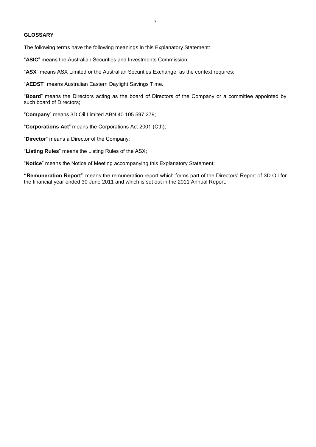#### **GLOSSARY**

The following terms have the following meanings in this Explanatory Statement:

"**ASIC**" means the Australian Securities and Investments Commission;

"**ASX**" means ASX Limited or the Australian Securities Exchange, as the context requires;

"**AEDST**" means Australian Eastern Daylight Savings Time.

"**Board**" means the Directors acting as the board of Directors of the Company or a committee appointed by such board of Directors;

"**Company**" means 3D Oil Limited ABN 40 105 597 279;

"**Corporations Act**" means the Corporations Act 2001 (Cth);

"**Director**" means a Director of the Company;

"**Listing Rules**" means the Listing Rules of the ASX;

"**Notice**" means the Notice of Meeting accompanying this Explanatory Statement;

**"Remuneration Report"** means the remuneration report which forms part of the Directors' Report of 3D Oil for the financial year ended 30 June 2011 and which is set out in the 2011 Annual Report.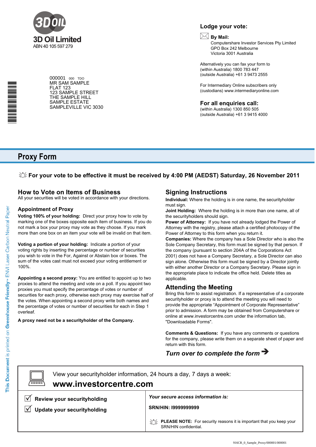

000001 <sup>000</sup> TDO MR SAM SAMPLE FLAT 123 123 SAMPLE STREET THE SAMPLE HILL SAMPLE ESTATE SAMPLEVILLE VIC 3030

## **Lodge your vote:**

# **By Mail:**

Computershare Investor Services Pty Limited GPO Box 242 Melbourne Victoria 3001 Australia

Alternatively you can fax your form to (within Australia) 1800 783 447 (outside Australia) +61 3 9473 2555

For Intermediary Online subscribers only (custodians) www.intermediaryonline.com

**For all enquiries call:**

(within Australia) 1300 850 505 (outside Australia) +61 3 9415 4000

# **Proxy Form**

\*<br>\* London<br>Timografia

## **For your vote to be effective it must be received by 4:00 PM (AEDST) Saturday, 26 November 2011**

# **How to Vote on Items of Business**

All your securities will be voted in accordance with your directions.

### **Appointment of Proxy**

**Voting 100% of your holding:** Direct your proxy how to vote by marking one of the boxes opposite each item of business. If you do not mark a box your proxy may vote as they choose. If you mark more than one box on an item your vote will be invalid on that item.

**Voting a portion of your holding:** Indicate a portion of your voting rights by inserting the percentage or number of securities you wish to vote in the For, Against or Abstain box or boxes. The sum of the votes cast must not exceed your voting entitlement or 100%.

**Appointing a second proxy:** You are entitled to appoint up to two proxies to attend the meeting and vote on a poll. If you appoint two proxies you must specify the percentage of votes or number of securities for each proxy, otherwise each proxy may exercise half of the votes. When appointing a second proxy write both names and the percentage of votes or number of securities for each in Step 1 overleaf.

**A proxy need not be a securityholder of the Company.**

# **Signing Instructions**

**Individual:** Where the holding is in one name, the securityholder must sign.

**Joint Holding:** Where the holding is in more than one name, all of the securityholders should sign.

**Power of Attorney:** If you have not already lodged the Power of Attorney with the registry, please attach a certified photocopy of the Power of Attorney to this form when you return it.

**Companies:** Where the company has a Sole Director who is also the Sole Company Secretary, this form must be signed by that person. If the company (pursuant to section 204A of the Corporations Act 2001) does not have a Company Secretary, a Sole Director can also sign alone. Otherwise this form must be signed by a Director jointly with either another Director or a Company Secretary. Please sign in the appropriate place to indicate the office held. Delete titles as applicable.

## **Attending the Meeting**

Bring this form to assist registration. If a representative of a corporate securityholder or proxy is to attend the meeting you will need to provide the appropriate "Appointment of Corporate Representative" prior to admission. A form may be obtained from Computershare or online at www.investorcentre.com under the information tab, "Downloadable Forms".

**Comments & Questions:** If you have any comments or questions for the company, please write them on a separate sheet of paper and return with this form.

# *Turn over to complete the form*

 $\boxed{\square}$ 

**www.investorcentre.com** View your securityholder information, 24 hours a day, 7 days a week:

**Review your securityholding**

**V** Update your securityholding

*Your secure access information is:*

**SRN/HIN: I9999999999**

**PLEASE NOTE:** For security reasons it is important that you keep your SRN/HIN confidential.